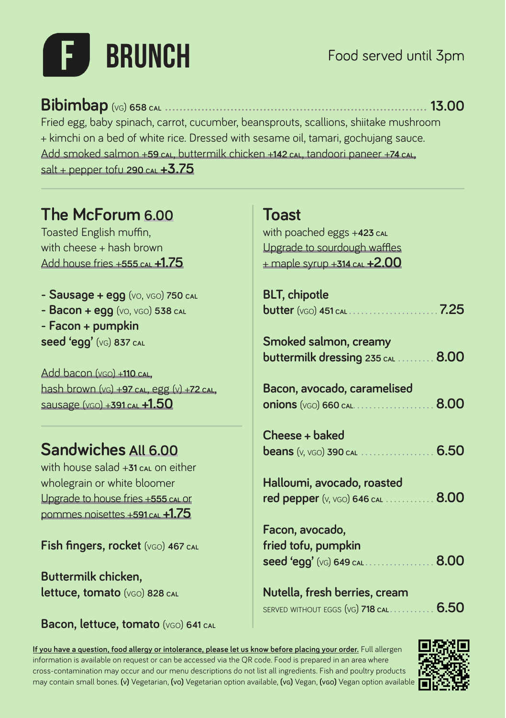## **BRUNCH**

**Bibimbap** (vg) **658 cal ������������������������������������������������������������������������ 13.00**

Fried egg, baby spinach, carrot, cucumber, beansprouts, scallions, shiitake mushroom + kimchi on a bed of white rice. Dressed with sesame oil, tamari, gochujang sauce. Add smoked salmon +**59 cal**, buttermilk chicken +**142 cal**, tandoori paneer +**74 cal,** salt + pepper tofu **290 cal +3.75**

**The McForum 6.00**

Toasted English muffin, with cheese  $+$  hash brown Add house fries +**555 cal +1.75**

**- Sausage + egg** (vo, vgo) **750 cal - Bacon + egg** (vo, vgo) **538 cal - Facon + pumpkin seed 'egg'** (vg) **837 cal**

Add bacon (vgo) +**110 cal**, hash brown (vg) +**97 cal**, egg (v) +**72 cal**, sausage (vgo) +**391 cal +1.50**

## **Sandwiches All 6.00**

with house salad +**31** cal on either wholegrain or white bloomer Upgrade to house fries +**555 cal** or pommes noisettes +**591 cal +1.75**

**Fish fingers, rocket** (vgo) **467 cal**

**Buttermilk chicken, lettuce, tomato** (vgo) **828 cal**

**Bacon, lettuce, tomato** (vgo) **641 cal**

## **Toast**

with poached eggs +**423 cal** Upgrade to sourdough waffles + maple syrup +**314 cal +2.00**

| <b>BLT, chipotle</b>                                                                             |      |
|--------------------------------------------------------------------------------------------------|------|
| Smoked salmon, creamy<br>$b$ uttermilk dressing 235 cal $\ldots$                                 | 8.00 |
| Bacon, avocado, caramelised<br><b>onions</b> (VGO) 660 CAL                                       | 8.00 |
| Cheese + baked<br><b>beans</b> (v, vGO) 390 CAL                                                  | 6.50 |
| Halloumi, avocado, roasted<br><b>red pepper</b> (v, vGO) 646 CAL                                 | 8.00 |
| Facon, avocado,<br>fried tofu, pumpkin<br>$\boldsymbol{\mathsf{seed}}$ 'egg' ( $\vee$ G) 649 CAL | 8.00 |
| Nutella, fresh berries, cream                                                                    |      |

served without eggs (vg) **718 cal . . . . . . . . . . . 6.50**

**If you have a question, food allergy or intolerance, please let us know before placing your order.** Full allergen information is available on request or can be accessed via the QR code. Food is prepared in an area where cross-contamination may occur and our menu descriptions do not list all ingredients. Fish and poultry products may contain small bones. **(v)** Vegetarian, **(vo)** Vegetarian option available, **(vg)** Vegan, **(vgo)** Vegan option available